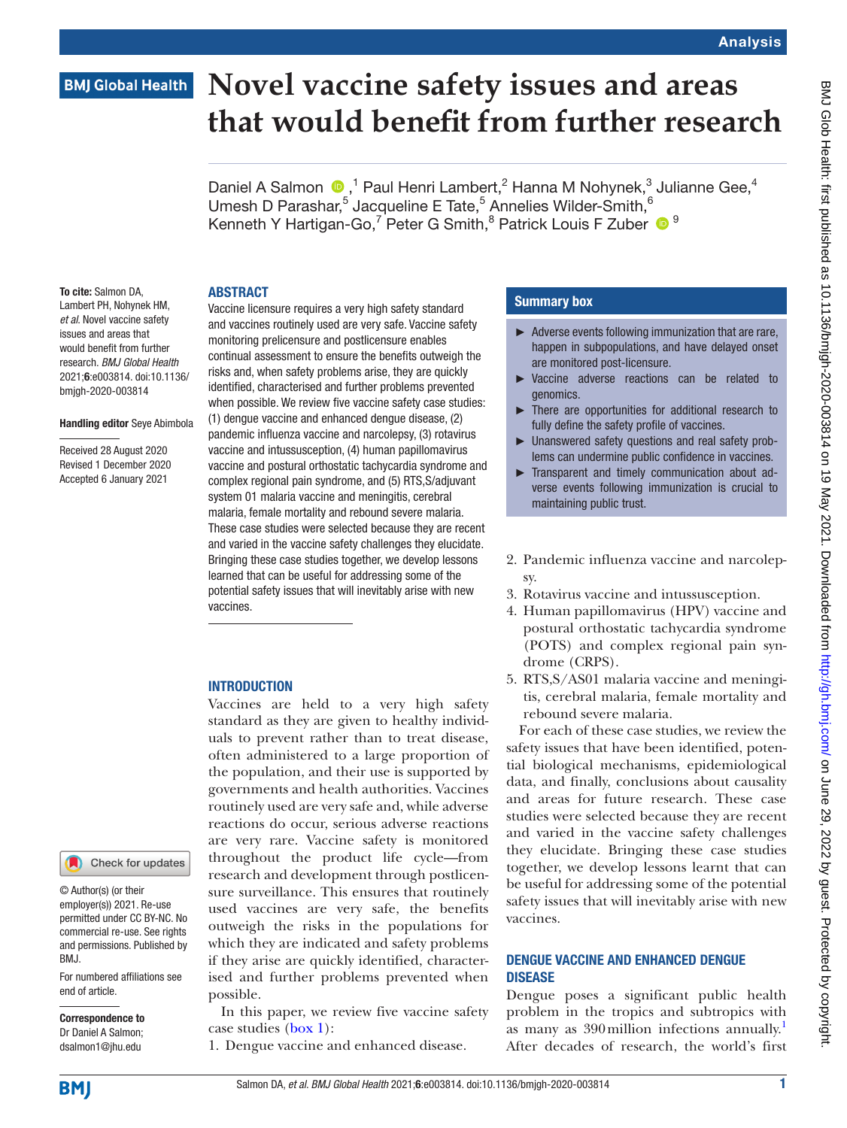## **BMJ Global Health**

# **Novel vaccine safety issues and areas that would benefit from further research**

Daniel A Salmon  $\bigcirc$ ,<sup>1</sup> Paul Henri Lambert,<sup>2</sup> Hanna M Nohynek,<sup>3</sup> Julianne Gee,<sup>4</sup> Umesh D Parashar,<sup>5</sup> Jacqueline E Tate,<sup>5</sup> Annelies Wilder-Smith,  $6$ Kenneth Y Hartigan-Go,<sup>7</sup> Peter G Smith,<sup>8</sup> Patrick Louis F Zuber <sup>19</sup>

#### ABSTRACT

To cite: Salmon DA, Lambert PH, Nohynek HM, *et al*. Novel vaccine safety issues and areas that would benefit from further research. *BMJ Global Health* 2021;6:e003814. doi:10.1136/ bmjgh-2020-003814

#### Handling editor Seye Abimbola

Received 28 August 2020 Revised 1 December 2020 Accepted 6 January 2021

Vaccine licensure requires a very high safety standard and vaccines routinely used are very safe. Vaccine safety monitoring prelicensure and postlicensure enables continual assessment to ensure the benefits outweigh the risks and, when safety problems arise, they are quickly identified, characterised and further problems prevented when possible. We review five vaccine safety case studies: (1) dengue vaccine and enhanced dengue disease, (2) pandemic influenza vaccine and narcolepsy, (3) rotavirus vaccine and intussusception, (4) human papillomavirus vaccine and postural orthostatic tachycardia syndrome and complex regional pain syndrome, and (5) RTS,S/adjuvant system 01 malaria vaccine and meningitis, cerebral malaria, female mortality and rebound severe malaria. These case studies were selected because they are recent and varied in the vaccine safety challenges they elucidate. Bringing these case studies together, we develop lessons learned that can be useful for addressing some of the potential safety issues that will inevitably arise with new vaccines.

#### **INTRODUCTION**

Vaccines are held to a very high safety standard as they are given to healthy individuals to prevent rather than to treat disease, often administered to a large proportion of the population, and their use is supported by governments and health authorities. Vaccines routinely used are very safe and, while adverse reactions do occur, serious adverse reactions are very rare. Vaccine safety is monitored throughout the product life cycle—from research and development through postlicensure surveillance. This ensures that routinely used vaccines are very safe, the benefits outweigh the risks in the populations for which they are indicated and safety problems if they arise are quickly identified, characterised and further problems prevented when possible.

In this paper, we review five vaccine safety case studies ([box](#page-1-0) 1):

1. Dengue vaccine and enhanced disease.

#### Summary box

- ► Adverse events following immunization that are rare, happen in subpopulations, and have delayed onset are monitored post-licensure.
- ► Vaccine adverse reactions can be related to genomics.
- There are opportunities for additional research to fully define the safety profile of vaccines.
- ► Unanswered safety questions and real safety problems can undermine public confidence in vaccines.
- ► Transparent and timely communication about adverse events following immunization is crucial to maintaining public trust.
- 2. Pandemic influenza vaccine and narcolepsy.
- 3. Rotavirus vaccine and intussusception.
- 4. Human papillomavirus (HPV) vaccine and postural orthostatic tachycardia syndrome (POTS) and complex regional pain syndrome (CRPS).
- 5. RTS,S/AS01 malaria vaccine and meningitis, cerebral malaria, female mortality and rebound severe malaria.

For each of these case studies, we review the safety issues that have been identified, potential biological mechanisms, epidemiological data, and finally, conclusions about causality and areas for future research. These case studies were selected because they are recent and varied in the vaccine safety challenges they elucidate. Bringing these case studies together, we develop lessons learnt that can be useful for addressing some of the potential safety issues that will inevitably arise with new vaccines.

#### DENGUE VACCINE AND ENHANCED DENGUE DISEASE

Dengue poses a significant public health problem in the tropics and subtropics with as many as 390 million infections annually.<sup>[1](#page-8-0)</sup> After decades of research, the world's first

**BMJ** 

end of article.

BMJ.

Correspondence to Dr Daniel A Salmon; dsalmon1@jhu.edu

© Author(s) (or their employer(s)) 2021. Re-use permitted under CC BY-NC. No commercial re-use. See rights and permissions. Published by

For numbered affiliations see

Check for updates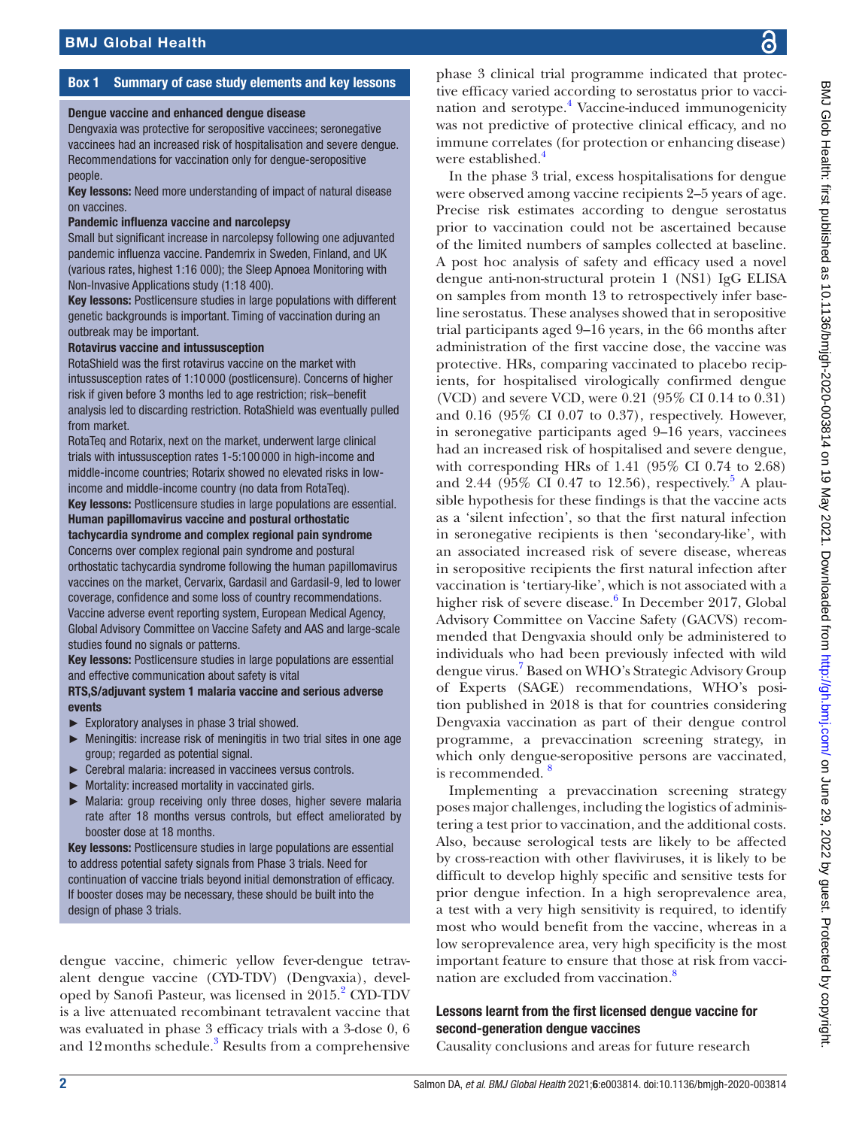### Box 1 Summary of case study elements and key lessons

#### <span id="page-1-0"></span>Dengue vaccine and enhanced dengue disease

Dengvaxia was protective for seropositive vaccinees; seronegative vaccinees had an increased risk of hospitalisation and severe dengue. Recommendations for vaccination only for dengue-seropositive people.

Key lessons: Need more understanding of impact of natural disease on vaccines.

#### Pandemic influenza vaccine and narcolepsy

Small but significant increase in narcolepsy following one adjuvanted pandemic influenza vaccine. Pandemrix in Sweden, Finland, and UK (various rates, highest 1:16 000); the Sleep Apnoea Monitoring with Non-Invasive Applications study (1:18 400).

Key lessons: Postlicensure studies in large populations with different genetic backgrounds is important. Timing of vaccination during an outbreak may be important.

#### Rotavirus vaccine and intussusception

RotaShield was the first rotavirus vaccine on the market with intussusception rates of 1:10 000 (postlicensure). Concerns of higher risk if given before 3 months led to age restriction; risk–benefit analysis led to discarding restriction. RotaShield was eventually pulled from market.

RotaTeq and Rotarix, next on the market, underwent large clinical trials with intussusception rates 1-5:100 000 in high-income and middle-income countries; Rotarix showed no elevated risks in lowincome and middle-income country (no data from RotaTeq). Key lessons: Postlicensure studies in large populations are essential. Human papillomavirus vaccine and postural orthostatic tachycardia syndrome and complex regional pain syndrome Concerns over complex regional pain syndrome and postural orthostatic tachycardia syndrome following the human papillomavirus vaccines on the market, Cervarix, Gardasil and Gardasil-9, led to lower coverage, confidence and some loss of country recommendations. Vaccine adverse event reporting system, European Medical Agency, Global Advisory Committee on Vaccine Safety and AAS and large-scale studies found no signals or patterns.

Key lessons: Postlicensure studies in large populations are essential and effective communication about safety is vital

#### RTS,S/adjuvant system 1 malaria vaccine and serious adverse events

- ► Exploratory analyses in phase 3 trial showed.
- ► Meningitis: increase risk of meningitis in two trial sites in one age group; regarded as potential signal.
- ► Cerebral malaria: increased in vaccinees versus controls.
- ► Mortality: increased mortality in vaccinated girls.
- ► Malaria: group receiving only three doses, higher severe malaria rate after 18 months versus controls, but effect ameliorated by booster dose at 18 months.

Key lessons: Postlicensure studies in large populations are essential to address potential safety signals from Phase 3 trials. Need for continuation of vaccine trials beyond initial demonstration of efficacy. If booster doses may be necessary, these should be built into the design of phase 3 trials.

dengue vaccine, chimeric yellow fever-dengue tetravalent dengue vaccine (CYD-TDV) (Dengvaxia), devel-oped by Sanofi Pasteur, was licensed in [2](#page-8-1)015.<sup>2</sup> CYD-TDV is a live attenuated recombinant tetravalent vaccine that was evaluated in phase 3 efficacy trials with a 3-dose 0, 6 and  $12$  months schedule.<sup>3</sup> Results from a comprehensive phase 3 clinical trial programme indicated that protective efficacy varied according to serostatus prior to vacci-nation and serotype.<sup>[4](#page-9-0)</sup> Vaccine-induced immunogenicity was not predictive of protective clinical efficacy, and no immune correlates (for protection or enhancing disease) were established.<sup>[4](#page-9-0)</sup>

In the phase 3 trial, excess hospitalisations for dengue were observed among vaccine recipients 2–5 years of age. Precise risk estimates according to dengue serostatus prior to vaccination could not be ascertained because of the limited numbers of samples collected at baseline. A post hoc analysis of safety and efficacy used a novel dengue anti-non-structural protein 1 (NS1) IgG ELISA on samples from month 13 to retrospectively infer baseline serostatus. These analyses showed that in seropositive trial participants aged 9–16 years, in the 66 months after administration of the first vaccine dose, the vaccine was protective. HRs, comparing vaccinated to placebo recipients, for hospitalised virologically confirmed dengue (VCD) and severe VCD, were 0.21 (95% CI 0.14 to 0.31) and 0.16 (95% CI 0.07 to 0.37), respectively. However, in seronegative participants aged 9–16 years, vaccinees had an increased risk of hospitalised and severe dengue, with corresponding HRs of 1.41 (95% CI 0.74 to 2.68) and 2.44 ( $95\%$  $95\%$  $95\%$  CI 0.47 to 12.56), respectively.<sup>5</sup> A plausible hypothesis for these findings is that the vaccine acts as a 'silent infection', so that the first natural infection in seronegative recipients is then 'secondary-like', with an associated increased risk of severe disease, whereas in seropositive recipients the first natural infection after vaccination is 'tertiary-like', which is not associated with a higher risk of severe disease.<sup>[6](#page-9-2)</sup> In December 2017, Global Advisory Committee on Vaccine Safety (GACVS) recommended that Dengvaxia should only be administered to individuals who had been previously infected with wild dengue virus.<sup>[7](#page-9-3)</sup> Based on WHO's Strategic Advisory Group of Experts (SAGE) recommendations, WHO's position published in 2018 is that for countries considering Dengvaxia vaccination as part of their dengue control programme, a prevaccination screening strategy, in which only dengue-seropositive persons are vaccinated, is recommended.<sup>8</sup>

Implementing a prevaccination screening strategy poses major challenges, including the logistics of administering a test prior to vaccination, and the additional costs. Also, because serological tests are likely to be affected by cross-reaction with other flaviviruses, it is likely to be difficult to develop highly specific and sensitive tests for prior dengue infection. In a high seroprevalence area, a test with a very high sensitivity is required, to identify most who would benefit from the vaccine, whereas in a low seroprevalence area, very high specificity is the most important feature to ensure that those at risk from vacci-nation are excluded from vaccination.<sup>[8](#page-9-4)</sup>

#### Lessons learnt from the first licensed dengue vaccine for second-generation dengue vaccines

Causality conclusions and areas for future research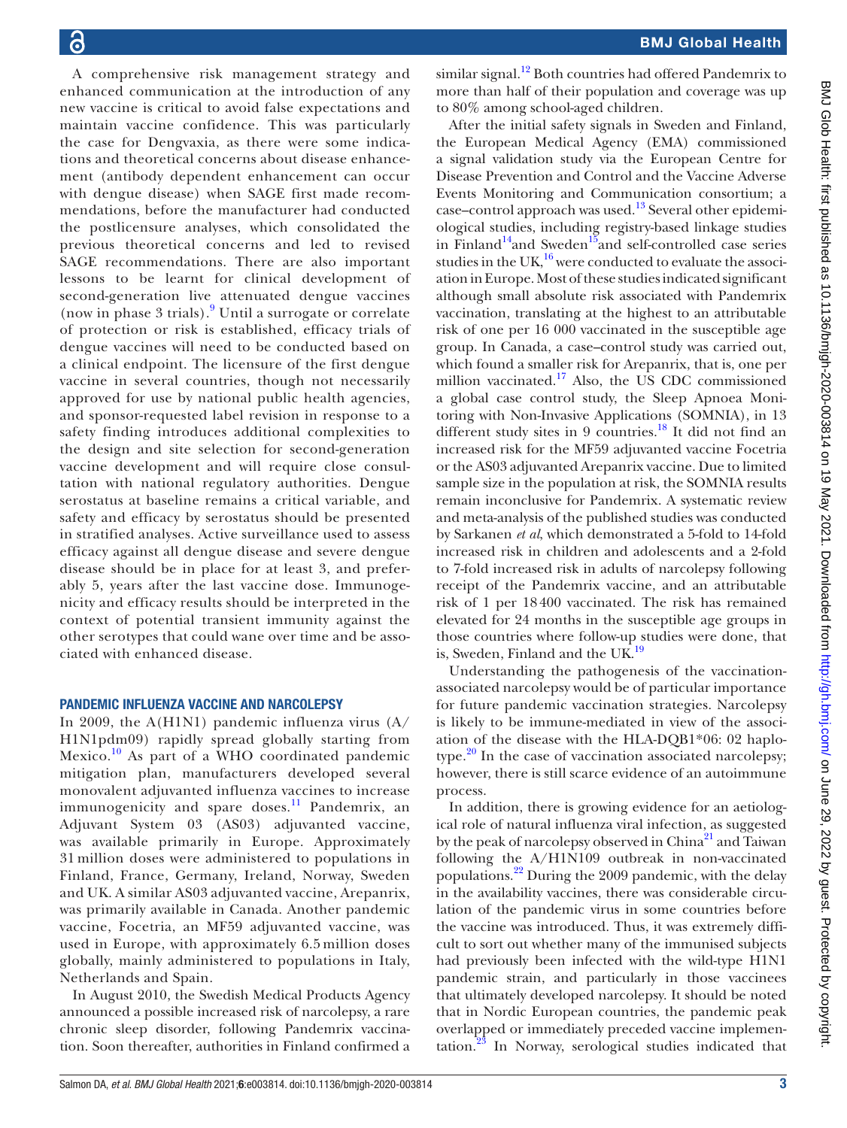A comprehensive risk management strategy and enhanced communication at the introduction of any new vaccine is critical to avoid false expectations and maintain vaccine confidence. This was particularly the case for Dengvaxia, as there were some indications and theoretical concerns about disease enhancement (antibody dependent enhancement can occur with dengue disease) when SAGE first made recommendations, before the manufacturer had conducted the postlicensure analyses, which consolidated the previous theoretical concerns and led to revised SAGE recommendations. There are also important lessons to be learnt for clinical development of second-generation live attenuated dengue vaccines (now in phase 3 trials).[9](#page-9-5) Until a surrogate or correlate of protection or risk is established, efficacy trials of dengue vaccines will need to be conducted based on a clinical endpoint. The licensure of the first dengue vaccine in several countries, though not necessarily approved for use by national public health agencies, and sponsor-requested label revision in response to a safety finding introduces additional complexities to the design and site selection for second-generation vaccine development and will require close consultation with national regulatory authorities. Dengue serostatus at baseline remains a critical variable, and safety and efficacy by serostatus should be presented in stratified analyses. Active surveillance used to assess efficacy against all dengue disease and severe dengue disease should be in place for at least 3, and preferably 5, years after the last vaccine dose. Immunogenicity and efficacy results should be interpreted in the context of potential transient immunity against the other serotypes that could wane over time and be associated with enhanced disease.

#### PANDEMIC INFLUENZA VACCINE AND NARCOLEPSY

In 2009, the A(H1N1) pandemic influenza virus (A/ H1N1pdm09) rapidly spread globally starting from Mexico. $^{10}$  $^{10}$  $^{10}$  As part of a WHO coordinated pandemic mitigation plan, manufacturers developed several monovalent adjuvanted influenza vaccines to increase immunogenicity and spare doses.<sup>11</sup> Pandemrix, an Adjuvant System 03 (AS03) adjuvanted vaccine, was available primarily in Europe. Approximately 31 million doses were administered to populations in Finland, France, Germany, Ireland, Norway, Sweden and UK. A similar AS03 adjuvanted vaccine, Arepanrix, was primarily available in Canada. Another pandemic vaccine, Focetria, an MF59 adjuvanted vaccine, was used in Europe, with approximately 6.5 million doses globally, mainly administered to populations in Italy, Netherlands and Spain.

In August 2010, the Swedish Medical Products Agency announced a possible increased risk of narcolepsy, a rare chronic sleep disorder, following Pandemrix vaccination. Soon thereafter, authorities in Finland confirmed a

similar signal.<sup>12</sup> Both countries had offered Pandemrix to more than half of their population and coverage was up to 80% among school-aged children.

After the initial safety signals in Sweden and Finland, the European Medical Agency (EMA) commissioned a signal validation study via the European Centre for Disease Prevention and Control and the Vaccine Adverse Events Monitoring and Communication consortium; a case–control approach was used.<sup>13</sup> Several other epidemiological studies, including registry-based linkage studies in Finland<sup>14</sup>and Sweden<sup>15</sup>and self-controlled case series studies in the UK, $^{16}$  were conducted to evaluate the association in Europe. Most of these studies indicated significant although small absolute risk associated with Pandemrix vaccination, translating at the highest to an attributable risk of one per 16 000 vaccinated in the susceptible age group. In Canada, a case–control study was carried out, which found a smaller risk for Arepanrix, that is, one per million vaccinated.<sup>17</sup> Also, the US CDC commissioned a global case control study, the Sleep Apnoea Monitoring with Non-Invasive Applications (SOMNIA), in 13 different study sites in 9 countries.<sup>18</sup> It did not find an increased risk for the MF59 adjuvanted vaccine Focetria or the AS03 adjuvanted Arepanrix vaccine. Due to limited sample size in the population at risk, the SOMNIA results remain inconclusive for Pandemrix. A systematic review and meta-analysis of the published studies was conducted by Sarkanen *et al*, which demonstrated a 5-fold to 14-fold increased risk in children and adolescents and a 2-fold to 7-fold increased risk in adults of narcolepsy following receipt of the Pandemrix vaccine, and an attributable risk of 1 per 18400 vaccinated. The risk has remained elevated for 24 months in the susceptible age groups in those countries where follow-up studies were done, that is, Sweden, Finland and the UK.<sup>19</sup>

Understanding the pathogenesis of the vaccinationassociated narcolepsy would be of particular importance for future pandemic vaccination strategies. Narcolepsy is likely to be immune-mediated in view of the association of the disease with the HLA-DQB1\*06: 02 haplotype. $20$  In the case of vaccination associated narcolepsy; however, there is still scarce evidence of an autoimmune process.

In addition, there is growing evidence for an aetiological role of natural influenza viral infection, as suggested by the peak of narcolepsy observed in China<sup>21</sup> and Taiwan following the A/H1N109 outbreak in non-vaccinated populations.[22](#page-9-18) During the 2009 pandemic, with the delay in the availability vaccines, there was considerable circulation of the pandemic virus in some countries before the vaccine was introduced. Thus, it was extremely difficult to sort out whether many of the immunised subjects had previously been infected with the wild-type H1N1 pandemic strain, and particularly in those vaccinees that ultimately developed narcolepsy. It should be noted that in Nordic European countries, the pandemic peak overlapped or immediately preceded vaccine implementation.<sup>23</sup> In Norway, serological studies indicated that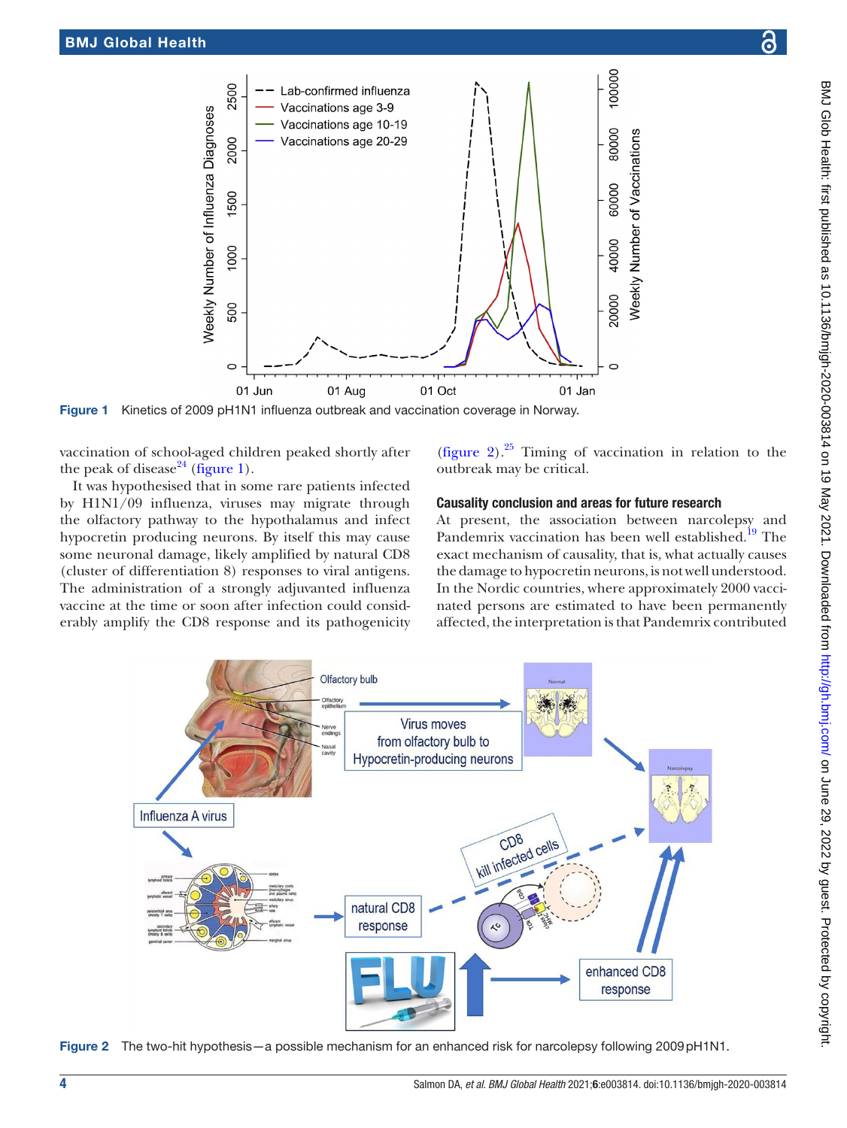

Figure 1 Kinetics of 2009 pH1N1 influenza outbreak and vaccination coverage in Norway.

vaccination of school-aged children peaked shortly after the peak of disease<sup>24</sup> [\(figure](#page-3-0) 1).

It was hypothesised that in some rare patients infected by H1N1/09 influenza, viruses may migrate through the olfactory pathway to the hypothalamus and infect hypocretin producing neurons. By itself this may cause some neuronal damage, likely amplified by natural CD8 (cluster of differentiation 8) responses to viral antigens. The administration of a strongly adjuvanted influenza vaccine at the time or soon after infection could considerably amplify the CD8 response and its pathogenicity

<span id="page-3-0"></span>[\(figure](#page-3-1) 2). $25$  Timing of vaccination in relation to the outbreak may be critical.

#### Causality conclusion and areas for future research

At present, the association between narcolepsy and Pandemrix vaccination has been well established.<sup>19</sup> The exact mechanism of causality, that is, what actually causes the damage to hypocretin neurons, is not well understood. In the Nordic countries, where approximately 2000 vaccinated persons are estimated to have been permanently affected, the interpretation is that Pandemrix contributed



<span id="page-3-1"></span>Figure 2 The two-hit hypothesis—a possible mechanism for an enhanced risk for narcolepsy following 2009pH1N1.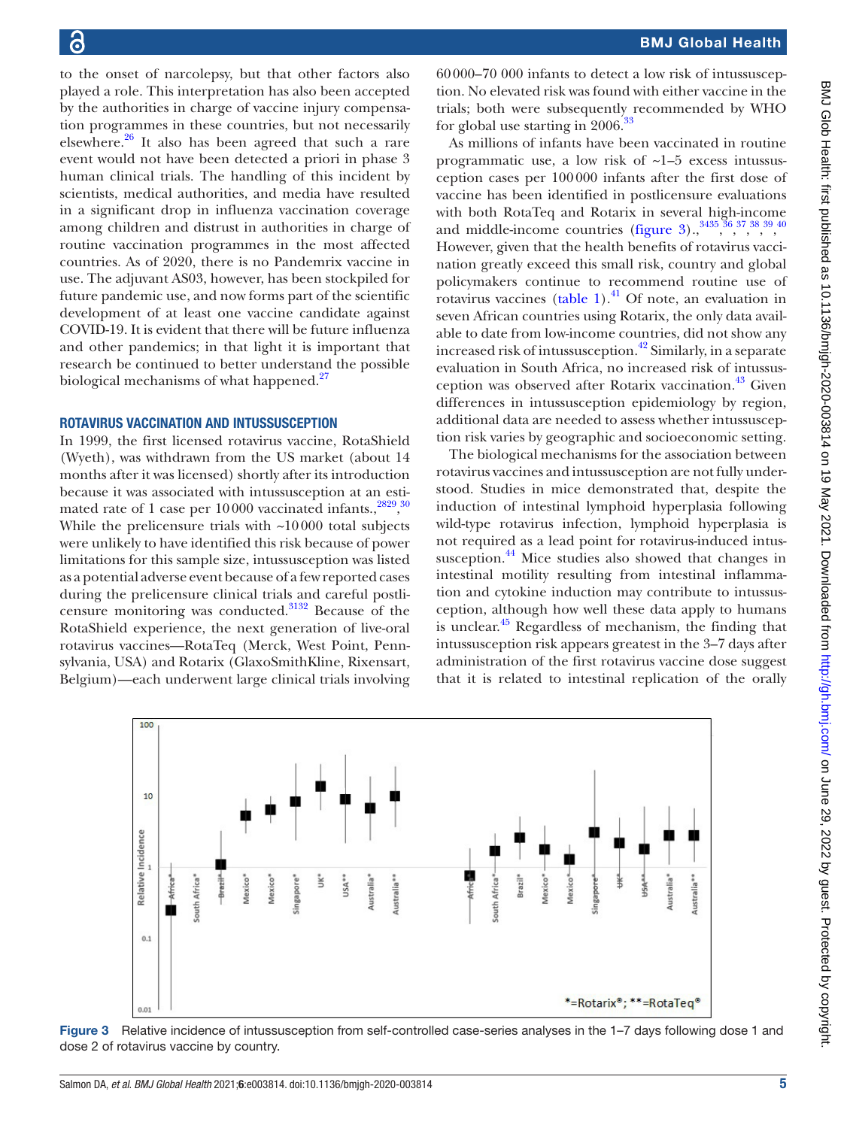to the onset of narcolepsy, but that other factors also played a role. This interpretation has also been accepted by the authorities in charge of vaccine injury compensation programmes in these countries, but not necessarily elsewhere[.26](#page-9-22) It also has been agreed that such a rare event would not have been detected a priori in phase 3 human clinical trials. The handling of this incident by scientists, medical authorities, and media have resulted in a significant drop in influenza vaccination coverage among children and distrust in authorities in charge of routine vaccination programmes in the most affected countries. As of 2020, there is no Pandemrix vaccine in use. The adjuvant AS03, however, has been stockpiled for future pandemic use, and now forms part of the scientific development of at least one vaccine candidate against COVID-19. It is evident that there will be future influenza and other pandemics; in that light it is important that research be continued to better understand the possible biological mechanisms of what happened.<sup>[27](#page-9-23)</sup>

#### ROTAVIRUS VACCINATION AND INTUSSUSCEPTION

In 1999, the first licensed rotavirus vaccine, RotaShield (Wyeth), was withdrawn from the US market (about 14 months after it was licensed) shortly after its introduction because it was associated with intussusception at an estimated rate of 1 case per  $10000$  vaccinated infants.,  $2829,30$  $2829,30$  $2829,30$ While the prelicensure trials with  $\sim$ 10000 total subjects were unlikely to have identified this risk because of power limitations for this sample size, intussusception was listed as a potential adverse event because of a few reported cases during the prelicensure clinical trials and careful postlicensure monitoring was conducted[.31](#page-9-27)[32](#page-9-28) Because of the RotaShield experience, the next generation of live-oral rotavirus vaccines—RotaTeq (Merck, West Point, Pennsylvania, USA) and Rotarix (GlaxoSmithKline, Rixensart, Belgium)—each underwent large clinical trials involving

60000–70 000 infants to detect a low risk of intussusception. No elevated risk was found with either vaccine in the trials; both were subsequently recommended by WHO for global use starting in 2006.[33](#page-9-29)

As millions of infants have been vaccinated in routine programmatic use, a low risk of ~1–5 excess intussusception cases per 100000 infants after the first dose of vaccine has been identified in postlicensure evaluations with both RotaTeq and Rotarix in several high-income and middle-income countries ([figure](#page-4-0)  $3)$ ,  $3^{3435,36,37,38,39,40}$  $3^{3435,36,37,38,39,40}$  $3^{3435,36,37,38,39,40}$  $3^{3435,36,37,38,39,40}$  $3^{3435,36,37,38,39,40}$  $3^{3435,36,37,38,39,40}$  $3^{3435,36,37,38,39,40}$  $3^{3435,36,37,38,39,40}$  $3^{3435,36,37,38,39,40}$  $3^{3435,36,37,38,39,40}$  $3^{3435,36,37,38,39,40}$ However, given that the health benefits of rotavirus vaccination greatly exceed this small risk, country and global policymakers continue to recommend routine use of rotavirus vaccines [\(table](#page-5-0) 1). $^{41}$  $^{41}$  $^{41}$  Of note, an evaluation in seven African countries using Rotarix, the only data available to date from low-income countries, did not show any increased risk of intussusception.<sup>42</sup> Similarly, in a separate evaluation in South Africa, no increased risk of intussusception was observed after Rotarix vaccination.<sup>43</sup> Given differences in intussusception epidemiology by region, additional data are needed to assess whether intussusception risk varies by geographic and socioeconomic setting.

The biological mechanisms for the association between rotavirus vaccines and intussusception are not fully understood. Studies in mice demonstrated that, despite the induction of intestinal lymphoid hyperplasia following wild-type rotavirus infection, lymphoid hyperplasia is not required as a lead point for rotavirus-induced intussusception.<sup>44</sup> Mice studies also showed that changes in intestinal motility resulting from intestinal inflammation and cytokine induction may contribute to intussusception, although how well these data apply to humans is unclear.<sup>45</sup> Regardless of mechanism, the finding that intussusception risk appears greatest in the 3–7 days after administration of the first rotavirus vaccine dose suggest that it is related to intestinal replication of the orally



<span id="page-4-0"></span>Figure 3 Relative incidence of intussusception from self-controlled case-series analyses in the 1–7 days following dose 1 and dose 2 of rotavirus vaccine by country.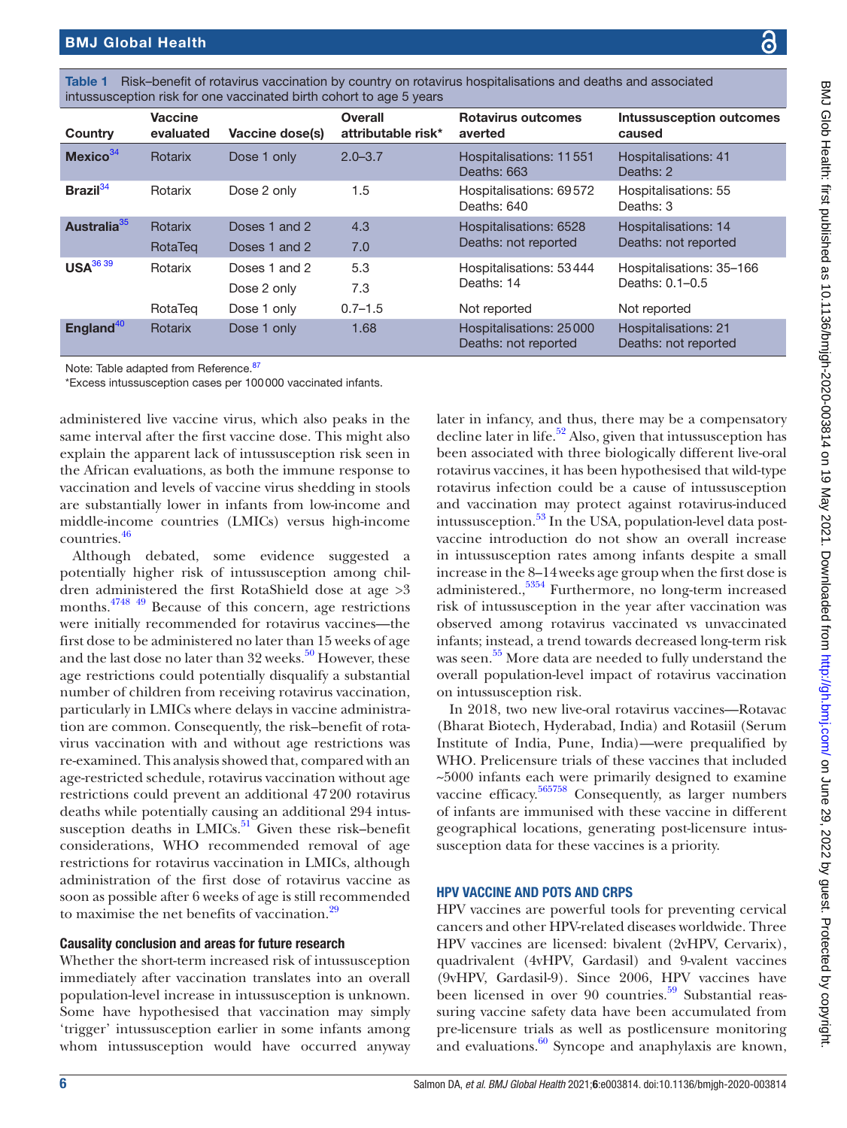| BMJ Qlob Health: first published as 10.1136/bmjgh-2020-003814 on 19 May 2021. Downloaded frou |
|-----------------------------------------------------------------------------------------------|
|                                                                                               |
|                                                                                               |
|                                                                                               |
|                                                                                               |
|                                                                                               |
|                                                                                               |
| bloodpal from b#n.l/ab                                                                        |
|                                                                                               |
|                                                                                               |
|                                                                                               |
|                                                                                               |
|                                                                                               |
|                                                                                               |
|                                                                                               |
|                                                                                               |
|                                                                                               |
|                                                                                               |
|                                                                                               |
|                                                                                               |
| こ クニ・クロニク イク・イクワイ ブッ とうつうこ こうこうりょく ファ クリアンこ                                                   |
|                                                                                               |
|                                                                                               |
|                                                                                               |
|                                                                                               |
|                                                                                               |
|                                                                                               |

<span id="page-5-0"></span>

| Table 1 Risk-benefit of rotavirus vaccination by country on rotavirus hospitalisations and deaths and associated |
|------------------------------------------------------------------------------------------------------------------|
| intussusception risk for one vaccinated birth cohort to age 5 years                                              |

| Country                 | <b>Vaccine</b><br>evaluated | Vaccine dose(s) | <b>Overall</b><br>attributable risk* | <b>Rotavirus outcomes</b><br>averted            | <b>Intussusception outcomes</b><br>caused           |
|-------------------------|-----------------------------|-----------------|--------------------------------------|-------------------------------------------------|-----------------------------------------------------|
| Mexico <sup>34</sup>    | Rotarix                     | Dose 1 only     | $2.0 - 3.7$                          | Hospitalisations: 11551<br>Deaths: 663          | <b>Hospitalisations: 41</b><br>Deaths: 2            |
| Brazil <sup>34</sup>    | Rotarix                     | Dose 2 only     | 1.5                                  | Hospitalisations: 69572<br>Deaths: 640          | Hospitalisations: 55<br>Deaths: 3                   |
| Australia <sup>35</sup> | Rotarix                     | Doses 1 and 2   | 4.3                                  | Hospitalisations: 6528<br>Deaths: not reported  | <b>Hospitalisations: 14</b><br>Deaths: not reported |
|                         | RotaTeg                     | Doses 1 and 2   | 7.0                                  |                                                 |                                                     |
| USA <sup>36 39</sup>    | Rotarix                     | Doses 1 and 2   | 5.3                                  | Hospitalisations: 53444                         | Hospitalisations: 35-166<br>Deaths: 0.1-0.5         |
|                         |                             | Dose 2 only     | 7.3                                  | Deaths: 14                                      |                                                     |
|                         | RotaTeg                     | Dose 1 only     | $0.7 - 1.5$                          | Not reported                                    | Not reported                                        |
| England <sup>40</sup>   | Rotarix                     | Dose 1 only     | 1.68                                 | Hospitalisations: 25000<br>Deaths: not reported | <b>Hospitalisations: 21</b><br>Deaths: not reported |

Note: Table adapted from Reference. [87](#page-10-4)

\*Excess intussusception cases per 100000 vaccinated infants.

administered live vaccine virus, which also peaks in the same interval after the first vaccine dose. This might also explain the apparent lack of intussusception risk seen in the African evaluations, as both the immune response to vaccination and levels of vaccine virus shedding in stools are substantially lower in infants from low-income and middle-income countries (LMICs) versus high-income countries[.46](#page-9-42)

Although debated, some evidence suggested a potentially higher risk of intussusception among children administered the first RotaShield dose at age >3 months.[47](#page-9-43)[48](#page-9-44) [49](#page-9-45) Because of this concern, age restrictions were initially recommended for rotavirus vaccines—the first dose to be administered no later than 15 weeks of age and the last dose no later than  $32$  weeks.<sup>[50](#page-9-46)</sup> However, these age restrictions could potentially disqualify a substantial number of children from receiving rotavirus vaccination, particularly in LMICs where delays in vaccine administration are common. Consequently, the risk–benefit of rotavirus vaccination with and without age restrictions was re-examined. This analysis showed that, compared with an age-restricted schedule, rotavirus vaccination without age restrictions could prevent an additional 47200 rotavirus deaths while potentially causing an additional 294 intussusception deaths in LMICs. $51$  Given these risk–benefit considerations, WHO recommended removal of age restrictions for rotavirus vaccination in LMICs, although administration of the first dose of rotavirus vaccine as soon as possible after 6 weeks of age is still recommended to maximise the net benefits of vaccination.<sup>[29](#page-9-25)</sup>

#### Causality conclusion and areas for future research

Whether the short-term increased risk of intussusception immediately after vaccination translates into an overall population-level increase in intussusception is unknown. Some have hypothesised that vaccination may simply 'trigger' intussusception earlier in some infants among whom intussusception would have occurred anyway

later in infancy, and thus, there may be a compensatory decline later in life.<sup>52</sup> Also, given that intussusception has been associated with three biologically different live-oral rotavirus vaccines, it has been hypothesised that wild-type rotavirus infection could be a cause of intussusception and vaccination may protect against rotavirus-induced intussusception. $53$  In the USA, population-level data postvaccine introduction do not show an overall increase in intussusception rates among infants despite a small increase in the 8–14weeks age group when the first dose is administered.,[53](#page-9-49)[54](#page-9-50) Furthermore, no long-term increased risk of intussusception in the year after vaccination was observed among rotavirus vaccinated vs unvaccinated infants; instead, a trend towards decreased long-term risk was seen. $^{55}$  $^{55}$  $^{55}$  More data are needed to fully understand the overall population-level impact of rotavirus vaccination on intussusception risk.

In 2018, two new live-oral rotavirus vaccines—Rotavac (Bharat Biotech, Hyderabad, India) and Rotasiil (Serum Institute of India, Pune, India)—were prequalified by WHO. Prelicensure trials of these vaccines that included ~5000 infants each were primarily designed to examine vaccine efficacy[.56](#page-9-52)[57](#page-10-0)[58](#page-10-1) Consequently, as larger numbers of infants are immunised with these vaccine in different geographical locations, generating post-licensure intussusception data for these vaccines is a priority.

#### HPV VACCINE AND POTS AND CRPS

HPV vaccines are powerful tools for preventing cervical cancers and other HPV-related diseases worldwide. Three HPV vaccines are licensed: bivalent (2vHPV, Cervarix), quadrivalent (4vHPV, Gardasil) and 9-valent vaccines (9vHPV, Gardasil-9). Since 2006, HPV vaccines have been licensed in over 90 countries.<sup>59</sup> Substantial reassuring vaccine safety data have been accumulated from pre-licensure trials as well as postlicensure monitoring and evaluations. $\frac{60}{9}$  $\frac{60}{9}$  $\frac{60}{9}$  Syncope and anaphylaxis are known,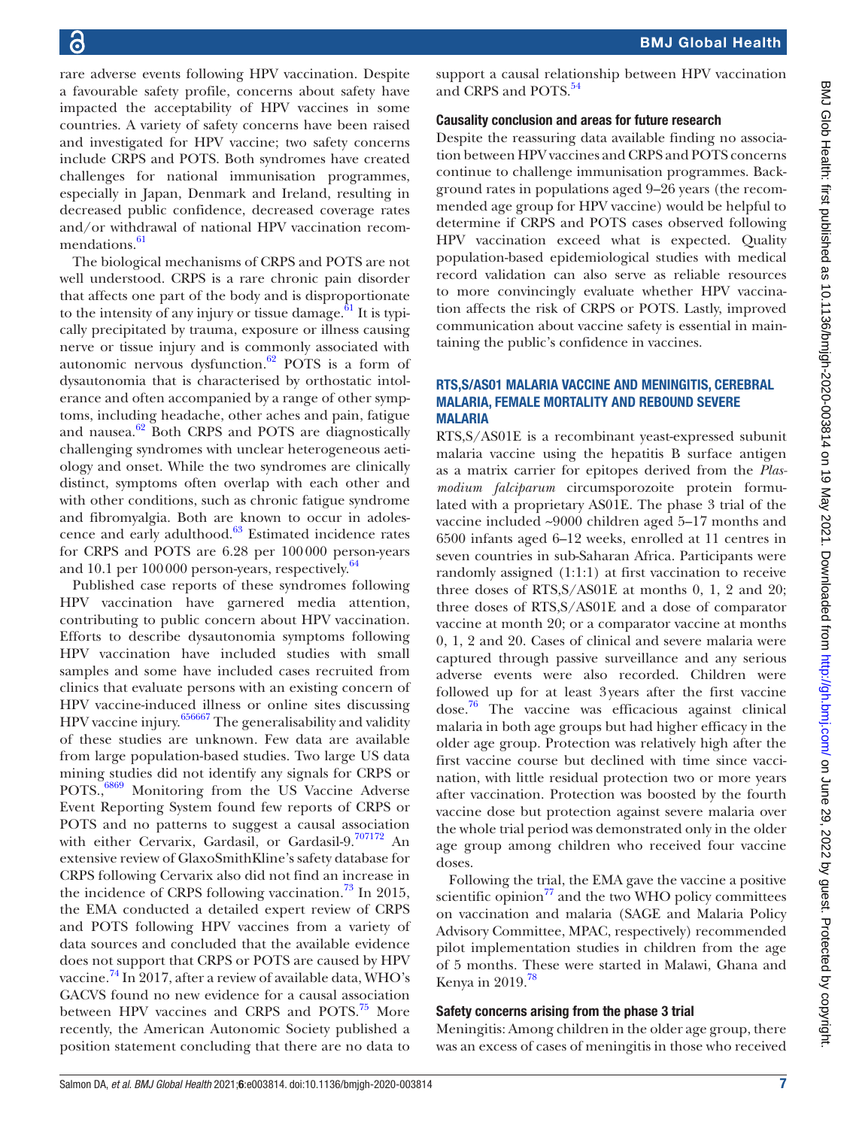rare adverse events following HPV vaccination. Despite a favourable safety profile, concerns about safety have impacted the acceptability of HPV vaccines in some countries. A variety of safety concerns have been raised and investigated for HPV vaccine; two safety concerns include CRPS and POTS. Both syndromes have created challenges for national immunisation programmes, especially in Japan, Denmark and Ireland, resulting in decreased public confidence, decreased coverage rates and/or withdrawal of national HPV vaccination recom-mendations.<sup>[61](#page-10-5)</sup>

The biological mechanisms of CRPS and POTS are not well understood. CRPS is a rare chronic pain disorder that affects one part of the body and is disproportionate to the intensity of any injury or tissue damage. $61$  It is typically precipitated by trauma, exposure or illness causing nerve or tissue injury and is commonly associated with autonomic nervous dysfunction. $62$  POTS is a form of dysautonomia that is characterised by orthostatic intolerance and often accompanied by a range of other symptoms, including headache, other aches and pain, fatigue and nausea. $62$  Both CRPS and POTS are diagnostically challenging syndromes with unclear heterogeneous aetiology and onset. While the two syndromes are clinically distinct, symptoms often overlap with each other and with other conditions, such as chronic fatigue syndrome and fibromyalgia. Both are known to occur in adolescence and early adulthood.[63](#page-10-7) Estimated incidence rates for CRPS and POTS are 6.28 per 100000 person-years and 10.1 per 100 000 person-years, respectively.<sup>[64](#page-10-8)</sup>

Published case reports of these syndromes following HPV vaccination have garnered media attention, contributing to public concern about HPV vaccination. Efforts to describe dysautonomia symptoms following HPV vaccination have included studies with small samples and some have included cases recruited from clinics that evaluate persons with an existing concern of HPV vaccine-induced illness or online sites discussing HPV vaccine injury.[65](#page-10-9)[66](#page-10-10)[67](#page-10-11) The generalisability and validity of these studies are unknown. Few data are available from large population-based studies. Two large US data mining studies did not identify any signals for CRPS or POTS.,<sup>[68](#page-10-12)[69](#page-10-13)</sup> Monitoring from the US Vaccine Adverse Event Reporting System found few reports of CRPS or POTS and no patterns to suggest a causal association with either Cervarix, Gardasil, or Gardasil-9.[70](#page-10-14)[71](#page-10-15)[72](#page-10-16) An extensive review of GlaxoSmithKline's safety database for CRPS following Cervarix also did not find an increase in the incidence of CRPS following vaccination.<sup>73</sup> In 2015, the EMA conducted a detailed expert review of CRPS and POTS following HPV vaccines from a variety of data sources and concluded that the available evidence does not support that CRPS or POTS are caused by HPV vaccine.<sup>74</sup> In 2017, after a review of available data, WHO's GACVS found no new evidence for a causal association between HPV vaccines and CRPS and POTS.<sup>75</sup> More recently, the American Autonomic Society published a position statement concluding that there are no data to

support a causal relationship between HPV vaccination and CRPS and POTS.<sup>[54](#page-9-50)</sup>

#### Causality conclusion and areas for future research

Despite the reassuring data available finding no association between HPV vaccines and CRPS and POTS concerns continue to challenge immunisation programmes. Background rates in populations aged 9–26 years (the recommended age group for HPV vaccine) would be helpful to determine if CRPS and POTS cases observed following HPV vaccination exceed what is expected. Quality population-based epidemiological studies with medical record validation can also serve as reliable resources to more convincingly evaluate whether HPV vaccination affects the risk of CRPS or POTS. Lastly, improved communication about vaccine safety is essential in maintaining the public's confidence in vaccines.

#### RTS,S/AS01 MALARIA VACCINE AND MENINGITIS, CEREBRAL MALARIA, FEMALE MORTALITY AND REBOUND SEVERE MALARIA

RTS,S/AS01E is a recombinant yeast-expressed subunit malaria vaccine using the hepatitis B surface antigen as a matrix carrier for epitopes derived from the *Plasmodium falciparum* circumsporozoite protein formulated with a proprietary AS01E. The phase 3 trial of the vaccine included ~9000 children aged 5–17 months and 6500 infants aged 6–12 weeks, enrolled at 11 centres in seven countries in sub-Saharan Africa. Participants were randomly assigned (1:1:1) at first vaccination to receive three doses of RTS,S/AS01E at months 0, 1, 2 and 20; three doses of RTS,S/AS01E and a dose of comparator vaccine at month 20; or a comparator vaccine at months 0, 1, 2 and 20. Cases of clinical and severe malaria were captured through passive surveillance and any serious adverse events were also recorded. Children were followed up for at least 3years after the first vaccine dose[.76](#page-10-20) The vaccine was efficacious against clinical malaria in both age groups but had higher efficacy in the older age group. Protection was relatively high after the first vaccine course but declined with time since vaccination, with little residual protection two or more years after vaccination. Protection was boosted by the fourth vaccine dose but protection against severe malaria over the whole trial period was demonstrated only in the older age group among children who received four vaccine doses.

Following the trial, the EMA gave the vaccine a positive scientific opinion $^{77}$  and the two WHO policy committees on vaccination and malaria (SAGE and Malaria Policy Advisory Committee, MPAC, respectively) recommended pilot implementation studies in children from the age of 5 months. These were started in Malawi, Ghana and Kenya in 2019.<sup>[78](#page-10-22)</sup>

#### Safety concerns arising from the phase 3 trial

Meningitis: Among children in the older age group, there was an excess of cases of meningitis in those who received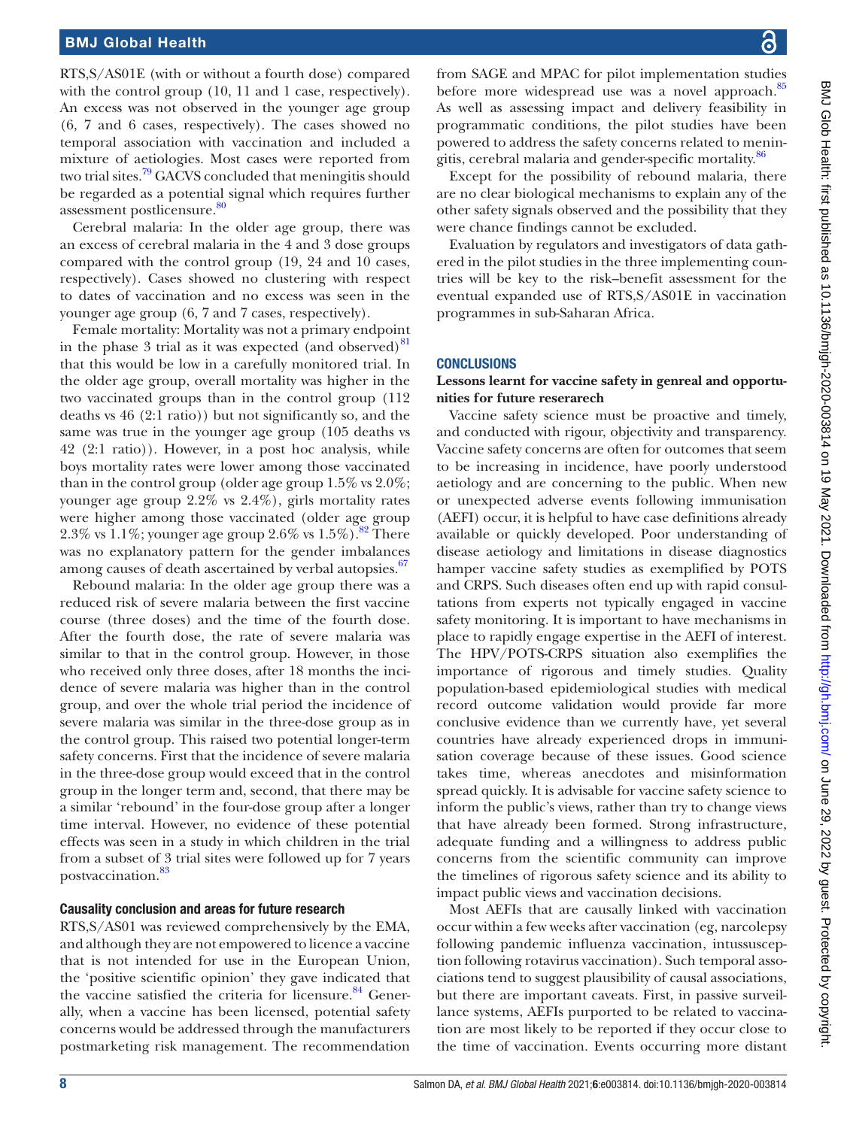RTS,S/AS01E (with or without a fourth dose) compared with the control group (10, 11 and 1 case, respectively). An excess was not observed in the younger age group (6, 7 and 6 cases, respectively). The cases showed no temporal association with vaccination and included a mixture of aetiologies. Most cases were reported from two trial sites.<sup>79</sup> GACVS concluded that meningitis should be regarded as a potential signal which requires further assessment postlicensure.<sup>80</sup>

Cerebral malaria: In the older age group, there was an excess of cerebral malaria in the 4 and 3 dose groups compared with the control group (19, 24 and 10 cases, respectively). Cases showed no clustering with respect to dates of vaccination and no excess was seen in the younger age group (6, 7 and 7 cases, respectively).

Female mortality: Mortality was not a primary endpoint in the phase 3 trial as it was expected (and observed) $81$ that this would be low in a carefully monitored trial. In the older age group, overall mortality was higher in the two vaccinated groups than in the control group (112 deaths vs 46 (2:1 ratio)) but not significantly so, and the same was true in the younger age group (105 deaths vs 42 (2:1 ratio)). However, in a post hoc analysis, while boys mortality rates were lower among those vaccinated than in the control group (older age group 1.5% vs 2.0%; younger age group 2.2% vs 2.4%), girls mortality rates were higher among those vaccinated (older age group 2.3% vs 1.1%; younger age group 2.6% vs  $1.5\%$ ).<sup>[82](#page-10-26)</sup> There was no explanatory pattern for the gender imbalances among causes of death ascertained by verbal autopsies.<sup>67</sup>

Rebound malaria: In the older age group there was a reduced risk of severe malaria between the first vaccine course (three doses) and the time of the fourth dose. After the fourth dose, the rate of severe malaria was similar to that in the control group. However, in those who received only three doses, after 18 months the incidence of severe malaria was higher than in the control group, and over the whole trial period the incidence of severe malaria was similar in the three-dose group as in the control group. This raised two potential longer-term safety concerns. First that the incidence of severe malaria in the three-dose group would exceed that in the control group in the longer term and, second, that there may be a similar 'rebound' in the four-dose group after a longer time interval. However, no evidence of these potential effects was seen in a study in which children in the trial from a subset of 3 trial sites were followed up for 7 years postvaccination.<sup>83</sup>

#### Causality conclusion and areas for future research

RTS,S/AS01 was reviewed comprehensively by the EMA, and although they are not empowered to licence a vaccine that is not intended for use in the European Union, the 'positive scientific opinion' they gave indicated that the vaccine satisfied the criteria for licensure. $84$  Generally, when a vaccine has been licensed, potential safety concerns would be addressed through the manufacturers postmarketing risk management. The recommendation

from SAGE and MPAC for pilot implementation studies before more widespread use was a novel approach.<sup>[85](#page-10-29)</sup> As well as assessing impact and delivery feasibility in programmatic conditions, the pilot studies have been powered to address the safety concerns related to menin-gitis, cerebral malaria and gender-specific mortality.<sup>[86](#page-10-30)</sup>

Except for the possibility of rebound malaria, there are no clear biological mechanisms to explain any of the other safety signals observed and the possibility that they were chance findings cannot be excluded.

Evaluation by regulators and investigators of data gathered in the pilot studies in the three implementing countries will be key to the risk–benefit assessment for the eventual expanded use of RTS,S/AS01E in vaccination programmes in sub-Saharan Africa.

#### **CONCLUSIONS**

#### **Lessons learnt for vaccine safety in genreal and opportunities for future reserarech**

Vaccine safety science must be proactive and timely, and conducted with rigour, objectivity and transparency. Vaccine safety concerns are often for outcomes that seem to be increasing in incidence, have poorly understood aetiology and are concerning to the public. When new or unexpected adverse events following immunisation (AEFI) occur, it is helpful to have case definitions already available or quickly developed. Poor understanding of disease aetiology and limitations in disease diagnostics hamper vaccine safety studies as exemplified by POTS and CRPS. Such diseases often end up with rapid consultations from experts not typically engaged in vaccine safety monitoring. It is important to have mechanisms in place to rapidly engage expertise in the AEFI of interest. The HPV/POTS-CRPS situation also exemplifies the importance of rigorous and timely studies. Quality population-based epidemiological studies with medical record outcome validation would provide far more conclusive evidence than we currently have, yet several countries have already experienced drops in immunisation coverage because of these issues. Good science takes time, whereas anecdotes and misinformation spread quickly. It is advisable for vaccine safety science to inform the public's views, rather than try to change views that have already been formed. Strong infrastructure, adequate funding and a willingness to address public concerns from the scientific community can improve the timelines of rigorous safety science and its ability to impact public views and vaccination decisions.

Most AEFIs that are causally linked with vaccination occur within a few weeks after vaccination (eg, narcolepsy following pandemic influenza vaccination, intussusception following rotavirus vaccination). Such temporal associations tend to suggest plausibility of causal associations, but there are important caveats. First, in passive surveillance systems, AEFIs purported to be related to vaccination are most likely to be reported if they occur close to the time of vaccination. Events occurring more distant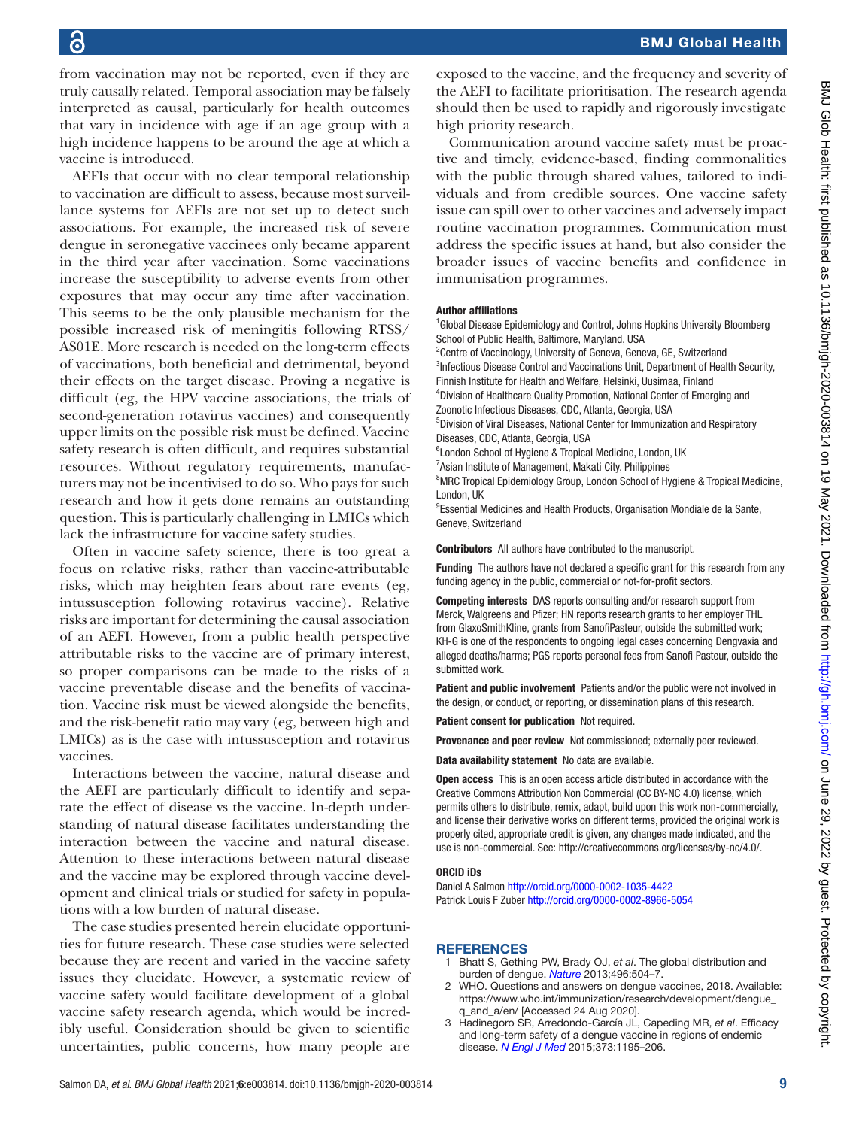from vaccination may not be reported, even if they are truly causally related. Temporal association may be falsely interpreted as causal, particularly for health outcomes that vary in incidence with age if an age group with a high incidence happens to be around the age at which a vaccine is introduced.

AEFIs that occur with no clear temporal relationship to vaccination are difficult to assess, because most surveillance systems for AEFIs are not set up to detect such associations. For example, the increased risk of severe dengue in seronegative vaccinees only became apparent in the third year after vaccination. Some vaccinations increase the susceptibility to adverse events from other exposures that may occur any time after vaccination. This seems to be the only plausible mechanism for the possible increased risk of meningitis following RTSS/ AS01E. More research is needed on the long-term effects of vaccinations, both beneficial and detrimental, beyond their effects on the target disease. Proving a negative is difficult (eg, the HPV vaccine associations, the trials of second-generation rotavirus vaccines) and consequently upper limits on the possible risk must be defined. Vaccine safety research is often difficult, and requires substantial resources. Without regulatory requirements, manufacturers may not be incentivised to do so. Who pays for such research and how it gets done remains an outstanding question. This is particularly challenging in LMICs which lack the infrastructure for vaccine safety studies.

Often in vaccine safety science, there is too great a focus on relative risks, rather than vaccine-attributable risks, which may heighten fears about rare events (eg, intussusception following rotavirus vaccine). Relative risks are important for determining the causal association of an AEFI. However, from a public health perspective attributable risks to the vaccine are of primary interest, so proper comparisons can be made to the risks of a vaccine preventable disease and the benefits of vaccination. Vaccine risk must be viewed alongside the benefits, and the risk-benefit ratio may vary (eg, between high and LMICs) as is the case with intussusception and rotavirus vaccines.

Interactions between the vaccine, natural disease and the AEFI are particularly difficult to identify and separate the effect of disease vs the vaccine. In-depth understanding of natural disease facilitates understanding the interaction between the vaccine and natural disease. Attention to these interactions between natural disease and the vaccine may be explored through vaccine development and clinical trials or studied for safety in populations with a low burden of natural disease.

The case studies presented herein elucidate opportunities for future research. These case studies were selected because they are recent and varied in the vaccine safety issues they elucidate. However, a systematic review of vaccine safety would facilitate development of a global vaccine safety research agenda, which would be incredibly useful. Consideration should be given to scientific uncertainties, public concerns, how many people are

exposed to the vaccine, and the frequency and severity of the AEFI to facilitate prioritisation. The research agenda should then be used to rapidly and rigorously investigate high priority research.

Communication around vaccine safety must be proactive and timely, evidence-based, finding commonalities with the public through shared values, tailored to individuals and from credible sources. One vaccine safety issue can spill over to other vaccines and adversely impact routine vaccination programmes. Communication must address the specific issues at hand, but also consider the broader issues of vaccine benefits and confidence in immunisation programmes.

#### Author affiliations

<sup>1</sup>Global Disease Epidemiology and Control, Johns Hopkins University Bloomberg School of Public Health, Baltimore, Maryland, USA

<sup>2</sup> Centre of Vaccinology, University of Geneva, Geneva, GE, Switzerland <sup>3</sup>Infectious Disease Control and Vaccinations Unit, Department of Health Security, Finnish Institute for Health and Welfare, Helsinki, Uusimaa, Finland

4 Division of Healthcare Quality Promotion, National Center of Emerging and Zoonotic Infectious Diseases, CDC, Atlanta, Georgia, USA

5 Division of Viral Diseases, National Center for Immunization and Respiratory Diseases, CDC, Atlanta, Georgia, USA

<sup>6</sup> London School of Hygiene & Tropical Medicine, London, UK

<sup>7</sup> Asian Institute of Management, Makati City, Philippines

<sup>8</sup>MRC Tropical Epidemiology Group, London School of Hygiene & Tropical Medicine, London, UK

<sup>9</sup>Essential Medicines and Health Products, Organisation Mondiale de la Sante, Geneve, Switzerland

Contributors All authors have contributed to the manuscript.

Funding The authors have not declared a specific grant for this research from any funding agency in the public, commercial or not-for-profit sectors.

Competing interests DAS reports consulting and/or research support from Merck, Walgreens and Pfizer; HN reports research grants to her employer THL from GlaxoSmithKline, grants from SanofiPasteur, outside the submitted work; KH-G is one of the respondents to ongoing legal cases concerning Dengvaxia and alleged deaths/harms; PGS reports personal fees from Sanofi Pasteur, outside the submitted work.

Patient and public involvement Patients and/or the public were not involved in the design, or conduct, or reporting, or dissemination plans of this research.

Patient consent for publication Not required.

Provenance and peer review Not commissioned; externally peer reviewed.

Data availability statement No data are available.

Open access This is an open access article distributed in accordance with the Creative Commons Attribution Non Commercial (CC BY-NC 4.0) license, which permits others to distribute, remix, adapt, build upon this work non-commercially, and license their derivative works on different terms, provided the original work is properly cited, appropriate credit is given, any changes made indicated, and the use is non-commercial. See:<http://creativecommons.org/licenses/by-nc/4.0/>.

#### ORCID iDs

Daniel A Salmon<http://orcid.org/0000-0002-1035-4422> Patrick Louis F Zuber<http://orcid.org/0000-0002-8966-5054>

#### <span id="page-8-0"></span>**REFERENCES**

- 1 Bhatt S, Gething PW, Brady OJ, *et al*. The global distribution and burden of dengue. *[Nature](http://dx.doi.org/10.1038/nature12060)* 2013;496:504–7.
- <span id="page-8-1"></span>2 WHO. Questions and answers on dengue vaccines, 2018. Available: [https://www.who.int/immunization/research/development/dengue\\_](https://www.who.int/immunization/research/development/dengue_q_and_a/en/) [q\\_and\\_a/en/](https://www.who.int/immunization/research/development/dengue_q_and_a/en/) [Accessed 24 Aug 2020].
- <span id="page-8-2"></span>3 Hadinegoro SR, Arredondo-García JL, Capeding MR, *et al*. Efficacy and long-term safety of a dengue vaccine in regions of endemic disease. *[N Engl J Med](http://dx.doi.org/10.1056/NEJMoa1506223)* 2015;373:1195–206.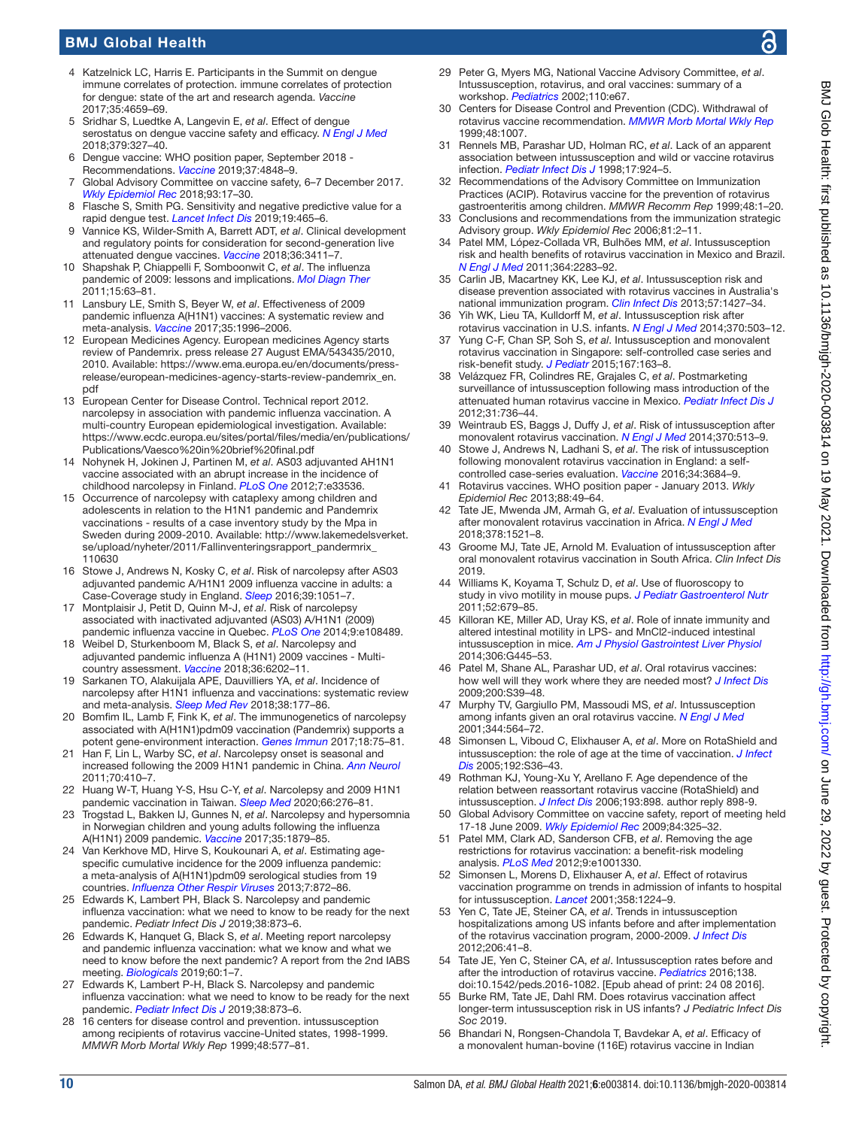## BMJ Global Health

- <span id="page-9-0"></span>4 Katzelnick LC, Harris E. Participants in the Summit on dengue immune correlates of protection. immune correlates of protection for dengue: state of the art and research agenda. *Vaccine* 2017;35:4659–69.
- <span id="page-9-1"></span>5 Sridhar S, Luedtke A, Langevin E, *et al*. Effect of dengue serostatus on dengue vaccine safety and efficacy. *[N Engl J Med](http://dx.doi.org/10.1056/NEJMoa1800820)* 2018;379:327–40.
- <span id="page-9-2"></span>6 Dengue vaccine: WHO position paper, September 2018 - Recommendations. *[Vaccine](http://dx.doi.org/10.1016/j.vaccine.2018.09.063)* 2019;37:4848–9.
- <span id="page-9-3"></span>7 Global Advisory Committee on vaccine safety, 6–7 December 2017. *[Wkly Epidemiol Rec](http://www.ncbi.nlm.nih.gov/pubmed/29350500)* 2018;93:17–30.
- <span id="page-9-4"></span>8 Flasche S, Smith PG. Sensitivity and negative predictive value for a rapid dengue test. *[Lancet Infect Dis](http://dx.doi.org/10.1016/S1473-3099(19)30167-7)* 2019;19:465–6.
- <span id="page-9-5"></span>9 Vannice KS, Wilder-Smith A, Barrett ADT, *et al*. Clinical development and regulatory points for consideration for second-generation live attenuated dengue vaccines. *[Vaccine](http://dx.doi.org/10.1016/j.vaccine.2018.02.062)* 2018;36:3411–7.
- <span id="page-9-6"></span>10 Shapshak P, Chiappelli F, Somboonwit C, *et al*. The influenza pandemic of 2009: lessons and implications. *[Mol Diagn Ther](http://dx.doi.org/10.1007/BF03256397)* 2011;15:63–81.
- <span id="page-9-7"></span>11 Lansbury LE, Smith S, Beyer W, *et al*. Effectiveness of 2009 pandemic influenza A(H1N1) vaccines: A systematic review and meta-analysis. *[Vaccine](http://dx.doi.org/10.1016/j.vaccine.2017.02.059)* 2017;35:1996–2006.
- <span id="page-9-8"></span>12 European Medicines Agency. European medicines Agency starts review of Pandemrix. press release 27 August EMA/543435/2010, 2010. Available: [https://www.ema.europa.eu/en/documents/press](https://www.ema.europa.eu/en/documents/press-release/european-medicines-agency-starts-review-pandemrix_en.pdf)[release/european-medicines-agency-starts-review-pandemrix\\_en.](https://www.ema.europa.eu/en/documents/press-release/european-medicines-agency-starts-review-pandemrix_en.pdf) [pdf](https://www.ema.europa.eu/en/documents/press-release/european-medicines-agency-starts-review-pandemrix_en.pdf)
- <span id="page-9-9"></span>13 European Center for Disease Control. Technical report 2012. narcolepsy in association with pandemic influenza vaccination. A multi-country European epidemiological investigation. Available: [https://www.ecdc.europa.eu/sites/portal/files/media/en/publications/](https://www.ecdc.europa.eu/sites/portal/files/media/en/publications/Publications/Vaesco%20in%20brief%20final.pdf) [Publications/Vaesco%20in%20brief%20final.pdf](https://www.ecdc.europa.eu/sites/portal/files/media/en/publications/Publications/Vaesco%20in%20brief%20final.pdf)
- <span id="page-9-10"></span>14 Nohynek H, Jokinen J, Partinen M, *et al*. AS03 adjuvanted AH1N1 vaccine associated with an abrupt increase in the incidence of childhood narcolepsy in Finland. *[PLoS One](http://dx.doi.org/10.1371/journal.pone.0033536)* 2012;7:e33536.
- <span id="page-9-11"></span>15 Occurrence of narcolepsy with cataplexy among children and adolescents in relation to the H1N1 pandemic and Pandemrix vaccinations ‐ results of a case inventory study by the Mpa in Sweden during 2009‐2010. Available: [http://www.lakemedelsverket.](http://www.lakemedelsverket.se/upload/nyheter/2011/Fallinventeringsrapport_pandermrix_110630) [se/upload/nyheter/2011/Fallinventeringsrapport\\_pandermrix\\_](http://www.lakemedelsverket.se/upload/nyheter/2011/Fallinventeringsrapport_pandermrix_110630) [110630](http://www.lakemedelsverket.se/upload/nyheter/2011/Fallinventeringsrapport_pandermrix_110630)
- <span id="page-9-12"></span>16 Stowe J, Andrews N, Kosky C, *et al*. Risk of narcolepsy after AS03 adjuvanted pandemic A/H1N1 2009 influenza vaccine in adults: a Case-Coverage study in England. *[Sleep](http://dx.doi.org/10.5665/sleep.5752)* 2016;39:1051–7.
- <span id="page-9-13"></span>17 Montplaisir J, Petit D, Quinn M-J, *et al*. Risk of narcolepsy associated with inactivated adjuvanted (AS03) A/H1N1 (2009) pandemic influenza vaccine in Quebec. *[PLoS One](http://dx.doi.org/10.1371/journal.pone.0108489)* 2014;9:e108489.
- <span id="page-9-14"></span>18 Weibel D, Sturkenboom M, Black S, *et al*. Narcolepsy and adjuvanted pandemic influenza A (H1N1) 2009 vaccines - Multicountry assessment. *[Vaccine](http://dx.doi.org/10.1016/j.vaccine.2018.08.008)* 2018;36:6202–11.
- <span id="page-9-15"></span>19 Sarkanen TO, Alakuijala APE, Dauvilliers YA, *et al*. Incidence of narcolepsy after H1N1 influenza and vaccinations: systematic review and meta-analysis. *[Sleep Med Rev](http://dx.doi.org/10.1016/j.smrv.2017.06.006)* 2018;38:177–86.
- <span id="page-9-16"></span>20 Bomfim IL, Lamb F, Fink K, *et al*. The immunogenetics of narcolepsy associated with A(H1N1)pdm09 vaccination (Pandemrix) supports a potent gene-environment interaction. *[Genes Immun](http://dx.doi.org/10.1038/gene.2017.1)* 2017;18:75–81.
- <span id="page-9-17"></span>21 Han F, Lin L, Warby SC, *et al*. Narcolepsy onset is seasonal and increased following the 2009 H1N1 pandemic in China. *[Ann Neurol](http://dx.doi.org/10.1002/ana.22587)* 2011;70:410–7.
- <span id="page-9-18"></span>22 Huang W-T, Huang Y-S, Hsu C-Y, *et al*. Narcolepsy and 2009 H1N1 pandemic vaccination in Taiwan. *[Sleep Med](http://dx.doi.org/10.1016/j.sleep.2018.10.036)* 2020;66:276–81.
- <span id="page-9-19"></span>23 Trogstad L, Bakken IJ, Gunnes N, *et al*. Narcolepsy and hypersomnia in Norwegian children and young adults following the influenza A(H1N1) 2009 pandemic. *[Vaccine](http://dx.doi.org/10.1016/j.vaccine.2017.02.053)* 2017;35:1879–85.
- <span id="page-9-20"></span>24 Van Kerkhove MD, Hirve S, Koukounari A, *et al*. Estimating agespecific cumulative incidence for the 2009 influenza pandemic: a meta-analysis of A(H1N1)pdm09 serological studies from 19 countries. *[Influenza Other Respir Viruses](http://dx.doi.org/10.1111/irv.12074)* 2013;7:872–86.
- <span id="page-9-21"></span>25 Edwards K, Lambert PH, Black S. Narcolepsy and pandemic influenza vaccination: what we need to know to be ready for the next pandemic. *Pediatr Infect Dis J* 2019;38:873–6.
- <span id="page-9-22"></span>26 Edwards K, Hanquet G, Black S, *et al*. Meeting report narcolepsy and pandemic influenza vaccination: what we know and what we need to know before the next pandemic? A report from the 2nd IABS meeting. *[Biologicals](http://dx.doi.org/10.1016/j.biologicals.2019.05.005)* 2019;60:1–7.
- <span id="page-9-23"></span>27 Edwards K, Lambert P-H, Black S. Narcolepsy and pandemic influenza vaccination: what we need to know to be ready for the next pandemic. *[Pediatr Infect Dis J](http://dx.doi.org/10.1097/INF.0000000000002398)* 2019;38:873–6.
- <span id="page-9-24"></span>28 16 centers for disease control and prevention. intussusception among recipients of rotavirus vaccine-United states, 1998-1999. *MMWR Morb Mortal Wkly Rep* 1999;48:577–81.
- <span id="page-9-25"></span>29 Peter G, Myers MG, National Vaccine Advisory Committee, *et al*. Intussusception, rotavirus, and oral vaccines: summary of a workshop. *[Pediatrics](http://dx.doi.org/10.1542/peds.110.6.e67)* 2002;110:e67.
- <span id="page-9-26"></span>30 Centers for Disease Control and Prevention (CDC). Withdrawal of rotavirus vaccine recommendation. *[MMWR Morb Mortal Wkly Rep](http://www.ncbi.nlm.nih.gov/pubmed/10577495)* 1999;48:1007.
- <span id="page-9-27"></span>31 Rennels MB, Parashar UD, Holman RC, *et al*. Lack of an apparent association between intussusception and wild or vaccine rotavirus infection. *[Pediatr Infect Dis J](http://dx.doi.org/10.1097/00006454-199810000-00018)* 1998;17:924–5.
- <span id="page-9-28"></span>32 Recommendations of the Advisory Committee on Immunization Practices (ACIP). Rotavirus vaccine for the prevention of rotavirus gastroenteritis among children. *MMWR Recomm Rep* 1999;48:1–20.
- <span id="page-9-29"></span>Conclusions and recommendations from the immunization strategic Advisory group. *Wkly Epidemiol Rec* 2006;81:2–11.
- <span id="page-9-30"></span>34 Patel MM, López-Collada VR, Bulhões MM, *et al*. Intussusception risk and health benefits of rotavirus vaccination in Mexico and Brazil. *[N Engl J Med](http://dx.doi.org/10.1056/NEJMoa1012952)* 2011;364:2283–92.
- <span id="page-9-31"></span>35 Carlin JB, Macartney KK, Lee KJ, *et al*. Intussusception risk and disease prevention associated with rotavirus vaccines in Australia's national immunization program. *[Clin Infect Dis](http://dx.doi.org/10.1093/cid/cit520)* 2013;57:1427–34.
- <span id="page-9-32"></span>36 Yih WK, Lieu TA, Kulldorff M, *et al*. Intussusception risk after rotavirus vaccination in U.S. infants. *[N Engl J Med](http://dx.doi.org/10.1056/NEJMoa1303164)* 2014;370:503–12.
- <span id="page-9-33"></span>37 Yung C-F, Chan SP, Soh S, *et al*. Intussusception and monovalent rotavirus vaccination in Singapore: self-controlled case series and risk-benefit study. *[J Pediatr](http://dx.doi.org/10.1016/j.jpeds.2015.03.038)* 2015;167:163–8.
- <span id="page-9-34"></span>38 Velázquez FR, Colindres RE, Grajales C, *et al*. Postmarketing surveillance of intussusception following mass introduction of the attenuated human rotavirus vaccine in Mexico. *[Pediatr Infect Dis J](http://dx.doi.org/10.1097/INF.0b013e318253add3)* 2012;31:736–44.
- <span id="page-9-35"></span>39 Weintraub ES, Baggs J, Duffy J, *et al*. Risk of intussusception after monovalent rotavirus vaccination. *[N Engl J Med](http://dx.doi.org/10.1056/NEJMoa1311738)* 2014;370:513–9.
- <span id="page-9-36"></span>40 Stowe J, Andrews N, Ladhani S, *et al*. The risk of intussusception following monovalent rotavirus vaccination in England: a selfcontrolled case-series evaluation. *[Vaccine](http://dx.doi.org/10.1016/j.vaccine.2016.04.050)* 2016;34:3684–9.
- <span id="page-9-37"></span>41 Rotavirus vaccines. WHO position paper - January 2013. *Wkly Epidemiol Rec* 2013;88:49–64.
- <span id="page-9-38"></span>42 Tate JE, Mwenda JM, Armah G, *et al*. Evaluation of intussusception after monovalent rotavirus vaccination in Africa. *[N Engl J Med](http://dx.doi.org/10.1056/NEJMoa1713909)* 2018;378:1521–8.
- <span id="page-9-39"></span>43 Groome MJ, Tate JE, Arnold M. Evaluation of intussusception after oral monovalent rotavirus vaccination in South Africa. *Clin Infect Dis* 2019.
- <span id="page-9-40"></span>44 Williams K, Koyama T, Schulz D, *et al*. Use of fluoroscopy to study in vivo motility in mouse pups. *[J Pediatr Gastroenterol Nutr](http://dx.doi.org/10.1097/MPG.0b013e31820a0e86)* 2011;52:679–85.
- <span id="page-9-41"></span>45 Killoran KE, Miller AD, Uray KS, *et al*. Role of innate immunity and altered intestinal motility in LPS- and MnCl2-induced intestinal intussusception in mice. *[Am J Physiol Gastrointest Liver Physiol](http://dx.doi.org/10.1152/ajpgi.00264.2013)* 2014;306:G445–53.
- <span id="page-9-42"></span>46 Patel M, Shane AL, Parashar UD, *et al*. Oral rotavirus vaccines: how well will they work where they are needed most? *[J Infect Dis](http://dx.doi.org/10.1086/605035)* 2009;200:S39–48.
- <span id="page-9-43"></span>47 Murphy TV, Gargiullo PM, Massoudi MS, *et al*. Intussusception among infants given an oral rotavirus vaccine. *[N Engl J Med](http://dx.doi.org/10.1056/NEJM200102223440804)* 2001;344:564–72.
- <span id="page-9-44"></span>48 Simonsen L, Viboud C, Elixhauser A, *et al*. More on RotaShield and intussusception: the role of age at the time of vaccination. *[J Infect](http://dx.doi.org/10.1086/431512)  [Dis](http://dx.doi.org/10.1086/431512)* 2005;192:S36–43.
- <span id="page-9-45"></span>49 Rothman KJ, Young-Xu Y, Arellano F. Age dependence of the relation between reassortant rotavirus vaccine (RotaShield) and intussusception. *[J Infect Dis](http://dx.doi.org/10.1086/500217)* 2006;193:898. author reply 898-9.
- <span id="page-9-46"></span>50 Global Advisory Committee on vaccine safety, report of meeting held 17-18 June 2009. *[Wkly Epidemiol Rec](http://www.ncbi.nlm.nih.gov/pubmed/19860024)* 2009;84:325–32.
- <span id="page-9-47"></span>51 Patel MM, Clark AD, Sanderson CFB, *et al*. Removing the age restrictions for rotavirus vaccination: a benefit-risk modeling analysis. *[PLoS Med](http://dx.doi.org/10.1371/journal.pmed.1001330)* 2012;9:e1001330.
- <span id="page-9-48"></span>52 Simonsen L, Morens D, Elixhauser A, *et al*. Effect of rotavirus vaccination programme on trends in admission of infants to hospital for intussusception. *[Lancet](http://dx.doi.org/10.1016/S0140-6736(01)06346-2)* 2001;358:1224–9.
- <span id="page-9-49"></span>53 Yen C, Tate JE, Steiner CA, *et al*. Trends in intussusception hospitalizations among US infants before and after implementation of the rotavirus vaccination program, 2000-2009. *[J Infect Dis](http://dx.doi.org/10.1093/infdis/jis314)* 2012;206:41–8.
- <span id="page-9-50"></span>54 Tate JE, Yen C, Steiner CA, *et al*. Intussusception rates before and after the introduction of rotavirus vaccine. *[Pediatrics](http://dx.doi.org/10.1542/peds.2016-1082)* 2016;138. doi:10.1542/peds.2016-1082. [Epub ahead of print: 24 08 2016].
- <span id="page-9-51"></span>55 Burke RM, Tate JE, Dahl RM. Does rotavirus vaccination affect longer-term intussusception risk in US infants? *J Pediatric Infect Dis Soc* 2019.
- <span id="page-9-52"></span>56 Bhandari N, Rongsen-Chandola T, Bavdekar A, *et al*. Efficacy of a monovalent human-bovine (116E) rotavirus vaccine in Indian